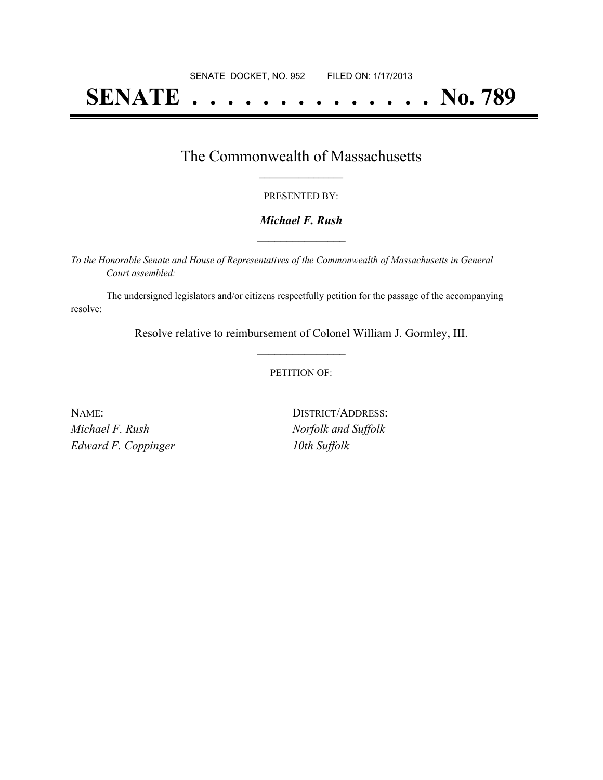# **SENATE . . . . . . . . . . . . . . No. 789**

### The Commonwealth of Massachusetts **\_\_\_\_\_\_\_\_\_\_\_\_\_\_\_\_\_**

#### PRESENTED BY:

#### *Michael F. Rush* **\_\_\_\_\_\_\_\_\_\_\_\_\_\_\_**

*To the Honorable Senate and House of Representatives of the Commonwealth of Massachusetts in General Court assembled:*

The undersigned legislators and/or citizens respectfully petition for the passage of the accompanying resolve:

> Resolve relative to reimbursement of Colonel William J. Gormley, III. **\_\_\_\_\_\_\_\_\_\_\_\_\_\_\_**

#### PETITION OF:

| NAME <sup>-</sup>   | DISTRICT/ADDRESS:   |
|---------------------|---------------------|
| Michael F. Rush     | Norfolk and Suffolk |
| Edward F. Coppinger | 10th Suffolk        |